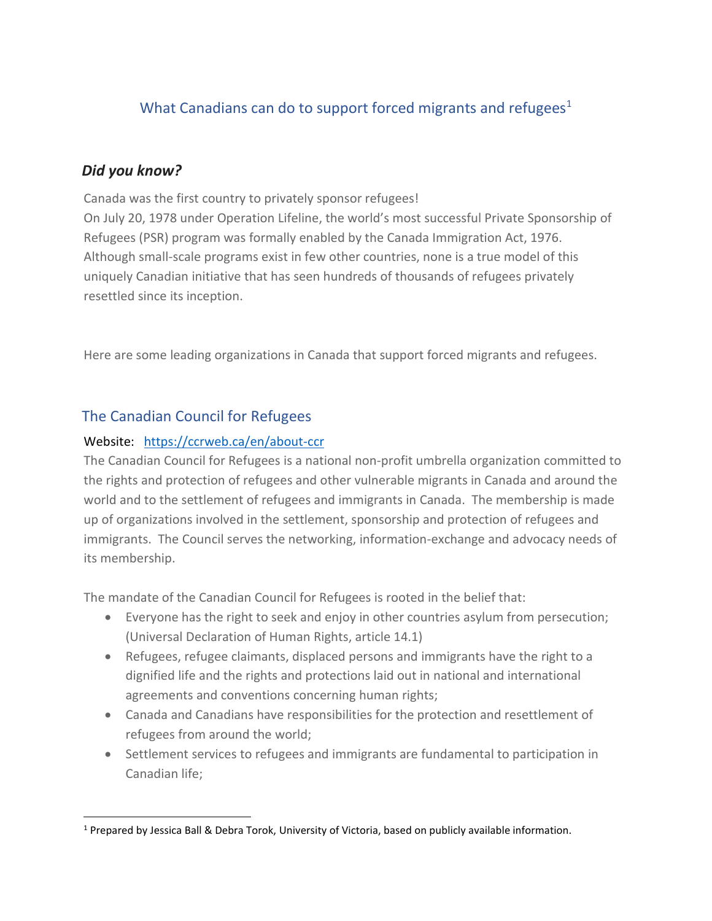# What Canadians can do to support forced migrants and refugees $1$

## *Did you know?*

Canada was the first country to privately sponsor refugees! On July 20, 1978 under [Operation](https://www.canadashistory.ca/explore/settlement-immigration/rescuing-refugees) Lifeline, the world's most successful Private [Sponsorship](http://www.rstp.ca/en/refugee-sponsorship/the-private-sponsorship-of-refugees-program/) of [Refugees](http://www.rstp.ca/en/refugee-sponsorship/the-private-sponsorship-of-refugees-program/) (PSR) program was formally enabled by the Canada [Immigration](https://en.wikipedia.org/wiki/Immigration_Act,_1976) Act, 1976. Although small-scale programs exist in few other countries, none is a true model of this uniquely Canadian initiative that has seen hundreds of thousands of refugees privately resettled since its inception.

Here are some leading organizations in Canada that support forced migrants and refugees.

## The Canadian Council for Refugees

### Website: <https://ccrweb.ca/en/about-ccr>

The Canadian Council for Refugees is a national non-profit umbrella organization committed to the rights and protection of refugees and other vulnerable migrants in Canada and around the world and to the settlement of refugees and immigrants in Canada. The membership is made up of organizations involved in the settlement, sponsorship and protection of refugees and immigrants. The Council serves the networking, information-exchange and advocacy needs of its membership.

The mandate of the Canadian Council for Refugees is rooted in the belief that:

- Everyone has the right to seek and enjoy in other countries asylum from persecution; (Universal Declaration of Human Rights, article 14.1)
- Refugees, refugee claimants, displaced persons and immigrants have the right to a dignified life and the rights and protections laid out in national and international agreements and conventions concerning human rights;
- Canada and Canadians have responsibilities for the protection and resettlement of refugees from around the world;
- Settlement services to refugees and immigrants are fundamental to participation in Canadian life;

<sup>1</sup> Prepared by Jessica Ball & Debra Torok, University of Victoria, based on publicly available information.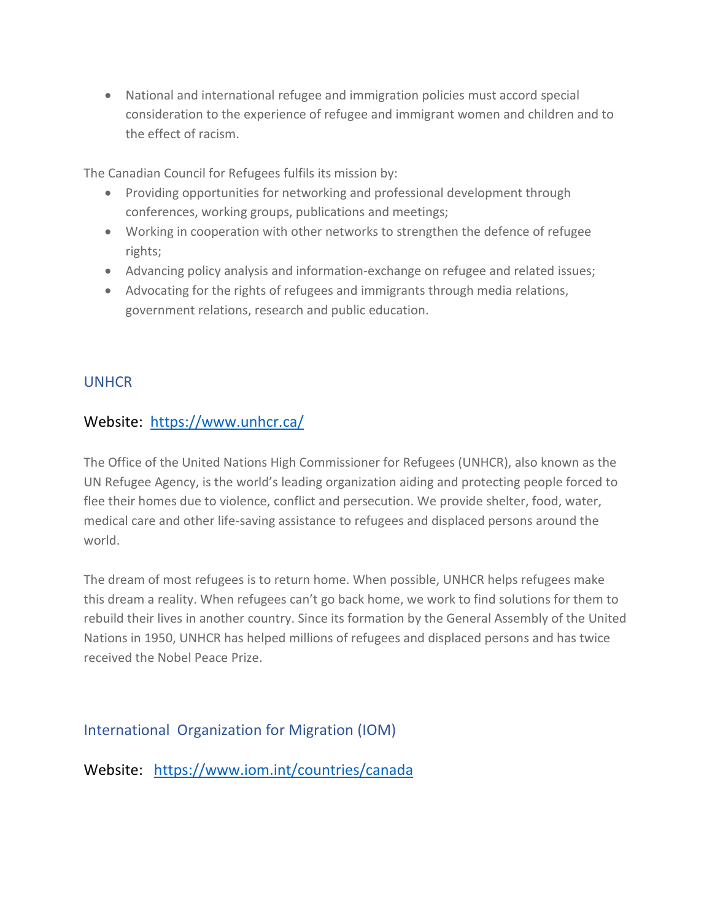• National and international refugee and immigration policies must accord special consideration to the experience of refugee and immigrant women and children and to the effect of racism.

The Canadian Council for Refugees fulfils its mission by:

- Providing opportunities for networking and professional development through conferences, working groups, publications and meetings;
- Working in cooperation with other networks to strengthen the defence of refugee rights;
- Advancing policy analysis and information-exchange on refugee and related issues;
- Advocating for the rights of refugees and immigrants through media relations, government relations, research and public education.

### UNHCR

## Website: <https://www.unhcr.ca/>

The Office of the United Nations High Commissioner for Refugees (UNHCR), also known as the UN Refugee Agency, is the world's leading organization aiding and protecting people forced to flee their homes due to violence, conflict and persecution. We provide shelter, food, water, medical care and other life-saving assistance to refugees and displaced persons around the world.

The dream of most refugees is to return home. When possible, UNHCR helps refugees make this dream a reality. When refugees can't go back home, we work to find solutions for them to rebuild their lives in another country. Since its formation by the General Assembly of the United Nations in 1950, UNHCR has helped millions of refugees and displaced persons and has twice received the Nobel Peace Prize.

International Organization for Migration (IOM)

Website: <https://www.iom.int/countries/canada>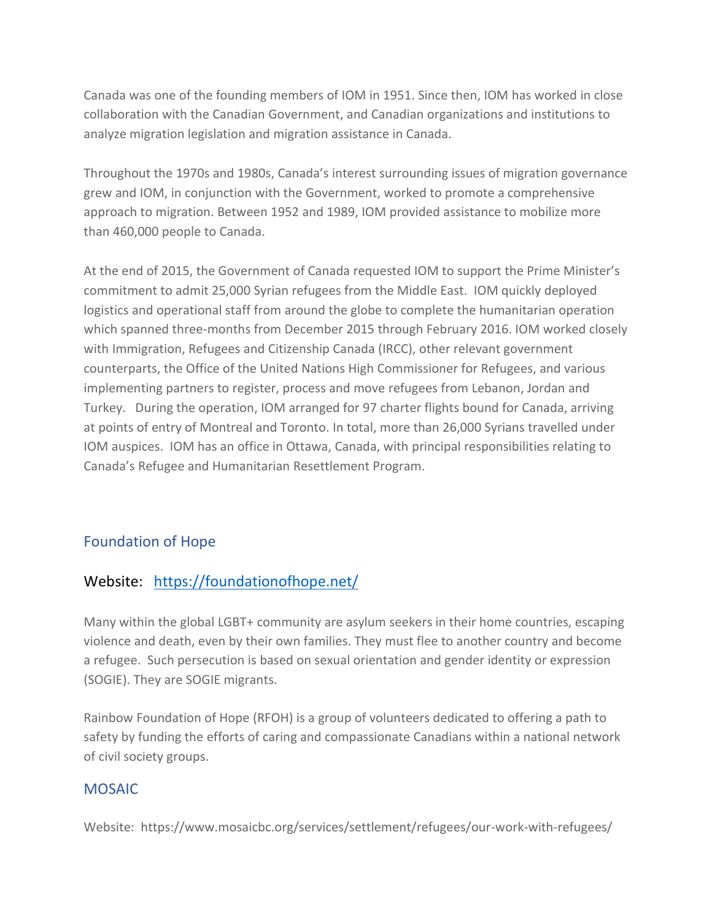Canada was one of the founding members of IOM in 1951. Since then, IOM has worked in close collaboration with the Canadian Government, and Canadian organizations and institutions to analyze migration legislation and migration assistance in Canada.

Throughout the 1970s and 1980s, Canada's interest surrounding issues of migration governance grew and IOM, in conjunction with the Government, worked to promote a comprehensive approach to migration. Between 1952 and 1989, IOM provided assistance to mobilize more than 460,000 people to Canada.

At the end of 2015, the Government of Canada requested IOM to support the Prime Minister's commitment to admit 25,000 Syrian refugees from the Middle East. IOM quickly deployed logistics and operational staff from around the globe to complete the humanitarian operation which spanned three-months from December 2015 through February 2016. IOM worked closely with Immigration, Refugees and Citizenship Canada (IRCC), other relevant government counterparts, the Office of the United Nations High Commissioner for Refugees, and various implementing partners to register, process and move refugees from Lebanon, Jordan and Turkey. During the operation, IOM arranged for 97 charter flights bound for Canada, arriving at points of entry of Montreal and Toronto. In total, more than 26,000 Syrians travelled under IOM auspices. IOM has an office in Ottawa, Canada, with principal responsibilities relating to Canada's Refugee and Humanitarian Resettlement Program.

## Foundation of Hope

### Website: <https://foundationofhope.net/>

Many within the global [LGBT+](http://foundationofhope.net/resources/) community are asylum seekers in their home countries, escaping violence and death, even by their own families. They must flee to another country and become a refugee. Such persecution is based on sexual orientation and gender identity or expression (SOGIE). They are SOGIE migrants.

Rainbow Foundation of Hope (RFOH) is a group of volunteers dedicated to offering a path to safety by funding the efforts of caring and compassionate Canadians within a national network of civil society groups.

#### MOSAIC

Website: https://www.mosaicbc.org/services/settlement/refugees/our-work-with-refugees/